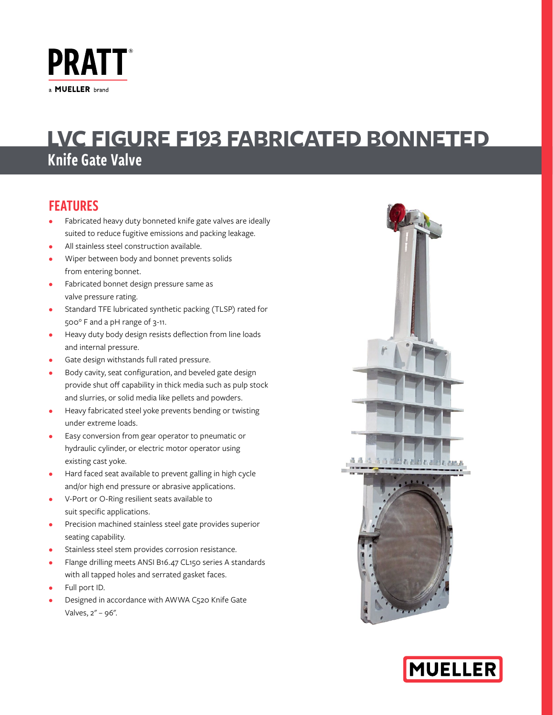

# Knife Gate Valve **LVC FIGURE F193 FABRICATED BONNETED**

## FEATURES

- Fabricated heavy duty bonneted knife gate valves are ideally suited to reduce fugitive emissions and packing leakage.
- All stainless steel construction available.
- Wiper between body and bonnet prevents solids from entering bonnet.
- Fabricated bonnet design pressure same as valve pressure rating.
- Standard TFE lubricated synthetic packing (TLSP) rated for 500° F and a pH range of 3-11.
- Heavy duty body design resists deflection from line loads and internal pressure.
- Gate design withstands full rated pressure.
- Body cavity, seat configuration, and beveled gate design provide shut off capability in thick media such as pulp stock and slurries, or solid media like pellets and powders.
- Heavy fabricated steel yoke prevents bending or twisting under extreme loads.
- Easy conversion from gear operator to pneumatic or hydraulic cylinder, or electric motor operator using existing cast yoke.
- Hard faced seat available to prevent galling in high cycle and/or high end pressure or abrasive applications.
- V-Port or O-Ring resilient seats available to suit specific applications.
- Precision machined stainless steel gate provides superior seating capability.
- Stainless steel stem provides corrosion resistance.
- Flange drilling meets ANSI B16.47 CL150 series A standards with all tapped holes and serrated gasket faces.
- Full port ID.
- Designed in accordance with AWWA C520 Knife Gate Valves, 2" – 96".



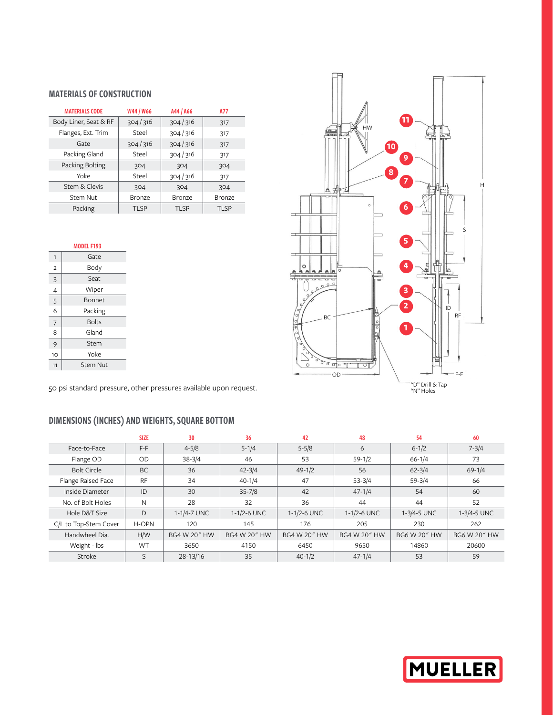## MATERIALS OF CONSTRUCTION

| <b>MATERIALS CODE</b> | W44 / W66     | A44 / A66     | A77           |
|-----------------------|---------------|---------------|---------------|
| Body Liner, Seat & RF | 304/316       | 304/316       | 317           |
| Flanges, Ext. Trim    | Steel         | 304/316       | 317           |
| Gate                  | 304/316       | 304/316       | 317           |
| Packing Gland         | Steel         | 304/316       | 317           |
| Packing Bolting       | 304           | 304           | 304           |
| Yoke                  | Steel         | 304/316       | 317           |
| Stem & Clevis         | 304           | 304           | 304           |
| Stem Nut              | <b>Bronze</b> | <b>Bronze</b> | <b>Bronze</b> |
| Packing               | <b>TLSP</b>   | <b>TLSP</b>   | <b>TLSP</b>   |

|                | <b>MODEL F193</b> |
|----------------|-------------------|
| 1              | Gate              |
| $\overline{2}$ | Body              |
| 3              | Seat              |
| $\overline{4}$ | Wiper             |
| 5              | Bonnet            |
| 6              | Packing           |
| $\overline{7}$ | <b>Bolts</b>      |
| 8              | Gland             |
| 9              | Stem              |
| 10             | Yoke              |
| 11             | <b>Stem Nut</b>   |

**11** HW **10 9 8 7** H **6** S  $\equiv$ **5**  $\circ$ **4** ≞ 6α 鱼  $\overline{\phantom{a}}$  $\circ$  $Q$ **3 2** ID RF BC **1**  $\frac{1}{\sqrt{1-\frac{1}{\sqrt{1-\frac{1}{\sqrt{1-\frac{1}{\sqrt{1-\frac{1}{\sqrt{1-\frac{1}{\sqrt{1-\frac{1}{\sqrt{1-\frac{1}{\sqrt{1-\frac{1}{\sqrt{1-\frac{1}{\sqrt{1-\frac{1}{\sqrt{1-\frac{1}{\sqrt{1-\frac{1}{\sqrt{1-\frac{1}{\sqrt{1-\frac{1}{\sqrt{1-\frac{1}{\sqrt{1-\frac{1}{\sqrt{1-\frac{1}{\sqrt{1-\frac{1}{\sqrt{1-\frac{1}{\sqrt{1-\frac{1}{\sqrt{1-\frac{1}{\sqrt{1-\frac{1}{\sqrt{1-\frac{1}{\sqrt{1-\frac{1$  $\circ$  $\overline{\mathbb{R}}$ OD F-F "D" Drill & Tap "N" Holes

50 psi standard pressure, other pressures available upon request.

## DIMENSIONS (INCHES) AND WEIGHTS, SQUARE BOTTOM

|                       | <b>SIZE</b> | 30           | 36           | 42           | 48           | 54           | 60           |
|-----------------------|-------------|--------------|--------------|--------------|--------------|--------------|--------------|
| Face-to-Face          | $F-F$       | $4 - 5/8$    | $5 - 1/4$    | $5 - 5/8$    | 6            | $6 - 1/2$    | $7 - 3/4$    |
| Flange OD             | OD          | $38 - 3/4$   | 46           | 53           | $59 - 1/2$   | $66 - 1/4$   | 73           |
| <b>Bolt Circle</b>    | <b>BC</b>   | 36           | $42 - 3/4$   | $49 - 1/2$   | 56           | $62 - 3/4$   | $69 - 1/4$   |
| Flange Raised Face    | <b>RF</b>   | 34           | $40 - 1/4$   | 47           | $53 - 3/4$   | $59 - 3/4$   | 66           |
| Inside Diameter       | ID          | 30           | $35 - 7/8$   | 42           | $47 - 1/4$   | 54           | 60           |
| No. of Bolt Holes     | N           | 28           | 32           | 36           | 44           | 44           | 52           |
| Hole D&T Size         | D           | 1-1/4-7 UNC  | 1-1/2-6 UNC  | 1-1/2-6 UNC  | 1-1/2-6 UNC  | 1-3/4-5 UNC  | 1-3/4-5 UNC  |
| C/L to Top-Stem Cover | H-OPN       | 120          | 145          | 176          | 205          | 230          | 262          |
| Handwheel Dia.        | H/W         | BG4 W 20" HW | BG4 W 20" HW | BG4 W 20" HW | BG4 W 20" HW | BG6 W 20" HW | BG6 W 20" HW |
| Weight - Ibs          | WT          | 3650         | 4150         | 6450         | 9650         | 14860        | 20600        |
| Stroke                | S           | 28-13/16     | 35           | $40 - 1/2$   | $47 - 1/4$   | 53           | 59           |